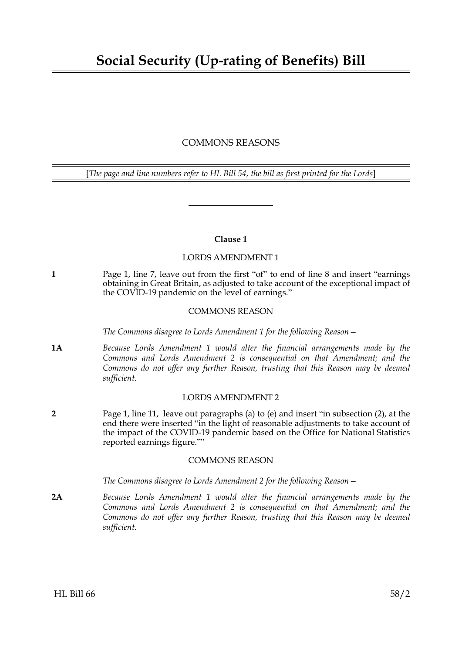# COMMONS REASONS

[*The page and line numbers refer to HL Bill 54, the bill as first printed for the Lords*]

### **Clause 1**

# LORDS AMENDMENT 1

**1** Page 1, line 7, leave out from the first "of" to end of line 8 and insert "earnings obtaining in Great Britain, as adjusted to take account of the exceptional impact of the COVID-19 pandemic on the level of earnings."

### COMMONS REASON

*The Commons disagree to Lords Amendment 1 for the following Reason—*

**1A** *Because Lords Amendment 1 would alter the financial arrangements made by the Commons and Lords Amendment 2 is consequential on that Amendment; and the Commons do not offer any further Reason, trusting that this Reason may be deemed sufficient.*

#### LORDS AMENDMENT 2

**2** Page 1, line 11, leave out paragraphs (a) to (e) and insert "in subsection (2), at the end there were inserted "in the light of reasonable adjustments to take account of the impact of the COVID-19 pandemic based on the Office for National Statistics reported earnings figure.""

# COMMONS REASON

*The Commons disagree to Lords Amendment 2 for the following Reason—*

**2A** *Because Lords Amendment 1 would alter the financial arrangements made by the Commons and Lords Amendment 2 is consequential on that Amendment; and the Commons do not offer any further Reason, trusting that this Reason may be deemed sufficient.*